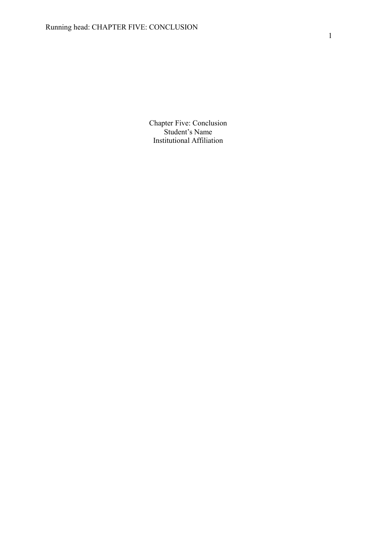Chapter Five: Conclusion Student's Name Institutional Affiliation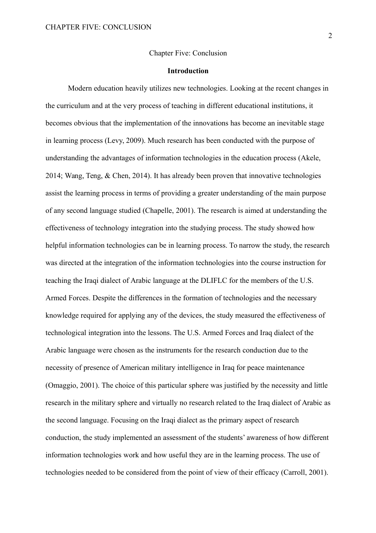# Chapter Five: Conclusion

#### **Introduction**

Modern education heavily utilizes new technologies. Looking at the recent changes in the curriculum and at the very process of teaching in different educational institutions, it becomes obvious that the implementation of the innovations has become an inevitable stage in learning process (Levy, 2009). Much research has been conducted with the purpose of understanding the advantages of information technologies in the education process (Akele, 2014; Wang, Teng, & Chen, 2014). It has already been proven that innovative technologies assist the learning process in terms of providing a greater understanding of the main purpose of any second language studied (Chapelle, 2001). The research is aimed at understanding the effectiveness of technology integration into the studying process. The study showed how helpful information technologies can be in learning process. To narrow the study, the research was directed at the integration of the information technologies into the course instruction for teaching the Iraqi dialect of Arabic language at the DLIFLC for the members of the U.S. Armed Forces. Despite the differences in the formation of technologies and the necessary knowledge required for applying any of the devices, the study measured the effectiveness of technological integration into the lessons. The U.S. Armed Forces and Iraq dialect of the Arabic language were chosen as the instruments for the research conduction due to the necessity of presence of American military intelligence in Iraq for peace maintenance (Omaggio, 2001). The choice of this particular sphere was justified by the necessity and little research in the military sphere and virtually no research related to the Iraq dialect of Arabic as the second language. Focusing on the Iraqi dialect as the primary aspect of research conduction, the study implemented an assessment of the students' awareness of how different information technologies work and how useful they are in the learning process. The use of technologies needed to be considered from the point of view of their efficacy (Carroll, 2001).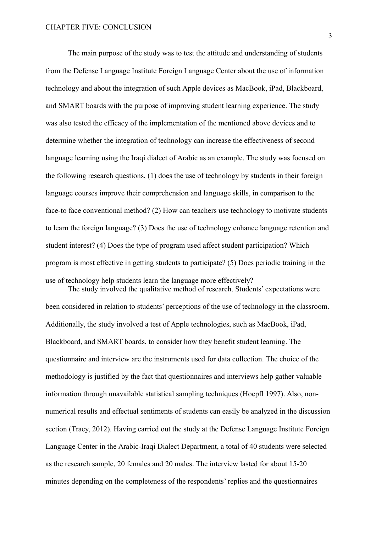The main purpose of the study was to test the attitude and understanding of students from the Defense Language Institute Foreign Language Center about the use of information technology and about the integration of such Apple devices as MacBook, iPad, Blackboard, and SMART boards with the purpose of improving student learning experience. The study was also tested the efficacy of the implementation of the mentioned above devices and to determine whether the integration of technology can increase the effectiveness of second language learning using the Iraqi dialect of Arabic as an example. The study was focused on the following research questions, (1) does the use of technology by students in their foreign language courses improve their comprehension and language skills, in comparison to the face-to face conventional method? (2) How can teachers use technology to motivate students to learn the foreign language? (3) Does the use of technology enhance language retention and student interest? (4) Does the type of program used affect student participation? Which program is most effective in getting students to participate? (5) Does periodic training in the use of technology help students learn the language more effectively? The study involved the qualitative method of research. Students' expectations were

been considered in relation to students' perceptions of the use of technology in the classroom. Additionally, the study involved a test of Apple technologies, such as MacBook, iPad, Blackboard, and SMART boards, to consider how they benefit student learning. The questionnaire and interview are the instruments used for data collection. The choice of the methodology is justified by the fact that questionnaires and interviews help gather valuable information through unavailable statistical sampling techniques (Hoepfl 1997). Also, nonnumerical results and effectual sentiments of students can easily be analyzed in the discussion section (Tracy, 2012). Having carried out the study at the Defense Language Institute Foreign Language Center in the Arabic-Iraqi Dialect Department, a total of 40 students were selected as the research sample, 20 females and 20 males. The interview lasted for about 15-20 minutes depending on the completeness of the respondents' replies and the questionnaires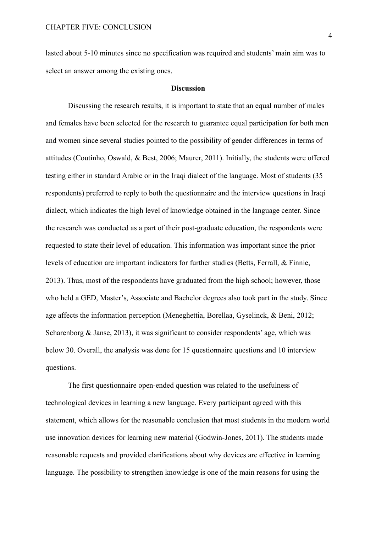lasted about 5-10 minutes since no specification was required and students' main aim was to select an answer among the existing ones.

# **Discussion**

Discussing the research results, it is important to state that an equal number of males and females have been selected for the research to guarantee equal participation for both men and women since several studies pointed to the possibility of gender differences in terms of attitudes (Coutinho, Oswald, & Best, 2006; Maurer, 2011). Initially, the students were offered testing either in standard Arabic or in the Iraqi dialect of the language. Most of students (35 respondents) preferred to reply to both the questionnaire and the interview questions in Iraqi dialect, which indicates the high level of knowledge obtained in the language center. Since the research was conducted as a part of their post-graduate education, the respondents were requested to state their level of education. This information was important since the prior levels of education are important indicators for further studies (Betts, Ferrall, & Finnie, 2013). Thus, most of the respondents have graduated from the high school; however, those who held a GED, Master's, Associate and Bachelor degrees also took part in the study. Since age affects the information perception (Meneghettia, Borellaa, Gyselinck, & Beni, 2012; Scharenborg  $\&$  Janse, 2013), it was significant to consider respondents' age, which was below 30. Overall, the analysis was done for 15 questionnaire questions and 10 interview questions.

The first questionnaire open-ended question was related to the usefulness of technological devices in learning a new language. Every participant agreed with this statement, which allows for the reasonable conclusion that most students in the modern world use innovation devices for learning new material (Godwin-Jones, 2011). The students made reasonable requests and provided clarifications about why devices are effective in learning language. The possibility to strengthen knowledge is one of the main reasons for using the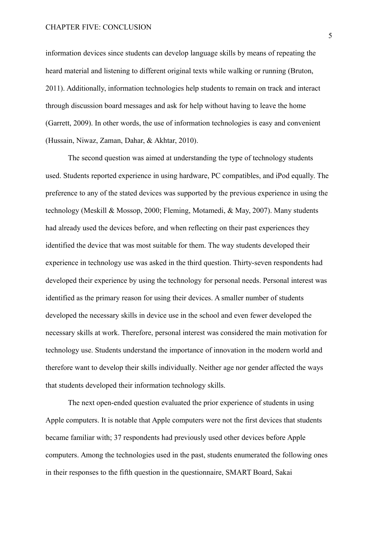information devices since students can develop language skills by means of repeating the heard material and listening to different original texts while walking or running (Bruton, 2011). Additionally, information technologies help students to remain on track and interact through discussion board messages and ask for help without having to leave the home (Garrett, 2009). In other words, the use of information technologies is easy and convenient (Hussain, Niwaz, Zaman, Dahar, & Akhtar, 2010).

The second question was aimed at understanding the type of technology students used. Students reported experience in using hardware, PC compatibles, and iPod equally. The preference to any of the stated devices was supported by the previous experience in using the technology (Meskill & Mossop, 2000; Fleming, Motamedi, & May, 2007). Many students had already used the devices before, and when reflecting on their past experiences they identified the device that was most suitable for them. The way students developed their experience in technology use was asked in the third question. Thirty-seven respondents had developed their experience by using the technology for personal needs. Personal interest was identified as the primary reason for using their devices. A smaller number of students developed the necessary skills in device use in the school and even fewer developed the necessary skills at work. Therefore, personal interest was considered the main motivation for technology use. Students understand the importance of innovation in the modern world and therefore want to develop their skills individually. Neither age nor gender affected the ways that students developed their information technology skills.

The next open-ended question evaluated the prior experience of students in using Apple computers. It is notable that Apple computers were not the first devices that students became familiar with; 37 respondents had previously used other devices before Apple computers. Among the technologies used in the past, students enumerated the following ones in their responses to the fifth question in the questionnaire, SMART Board, Sakai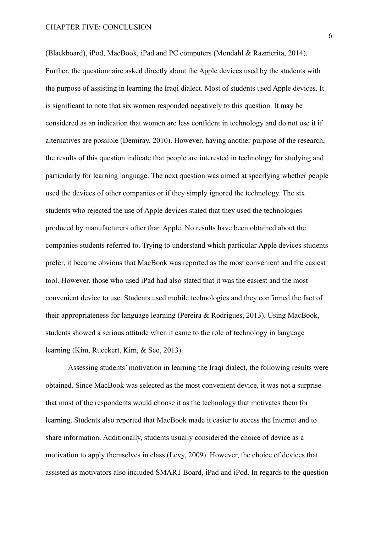(Blackboard), iPod, MacBook, iPad and PC computers (Mondahl & Razmerita, 2014). Further, the questionnaire asked directly about the Apple devices used by the students with the purpose of assisting in learning the Iraqi dialect. Most of students used Apple devices. It is significant to note that six women responded negatively to this question. It may be considered as an indication that women are less confident in technology and do not use it if alternatives are possible (Demiray, 2010). However, having another purpose of the research, the results of this question indicate that people are interested in technology for studying and particularly for learning language. The next question was aimed at specifying whether people used the devices of other companies or if they simply ignored the technology. The six students who rejected the use of Apple devices stated that they used the technologies produced by manufacturers other than Apple. No results have been obtained about the companies students referred to. Trying to understand which particular Apple devices students prefer, it became obvious that MacBook was reported as the most convenient and the easiest tool. However, those who used iPad had also stated that it was the easiest and the most convenient device to use. Students used mobile technologies and they confirmed the fact of their appropriateness for language learning (Pereira & Rodrigues, 2013). Using MacBook, students showed a serious attitude when it came to the role of technology in language learning (Kim, Rueckert, Kim, & Seo, 2013).

Assessing students' motivation in learning the Iraqi dialect, the following results were obtained. Since MacBook was selected as the most convenient device, it was not a surprise that most of the respondents would choose it as the technology that motivates them for learning. Students also reported that MacBook made it easier to access the Internet and to share information. Additionally, students usually considered the choice of device as a motivation to apply themselves in class (Levy, 2009). However, the choice of devices that assisted as motivators also included SMART Board, iPad and iPod. In regards to the question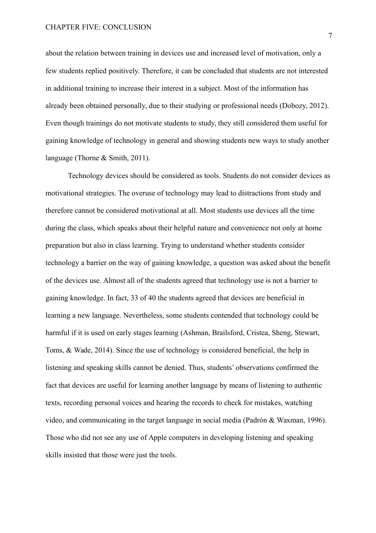about the relation between training in devices use and increased level of motivation, only a few students replied positively. Therefore, it can be concluded that students are not interested in additional training to increase their interest in a subject. Most of the information has already been obtained personally, due to their studying or professional needs (Dobozy, 2012). Even though trainings do not motivate students to study, they still considered them useful for gaining knowledge of technology in general and showing students new ways to study another language (Thorne & Smith, 2011).

Technology devices should be considered as tools. Students do not consider devices as motivational strategies. The overuse of technology may lead to distractions from study and therefore cannot be considered motivational at all. Most students use devices all the time during the class, which speaks about their helpful nature and convenience not only at home preparation but also in class learning. Trying to understand whether students consider technology a barrier on the way of gaining knowledge, a question was asked about the benefit of the devices use. Almost all of the students agreed that technology use is not a barrier to gaining knowledge. In fact, 33 of 40 the students agreed that devices are beneficial in learning a new language. Nevertheless, some students contended that technology could be harmful if it is used on early stages learning (Ashman, Brailsford, Cristea, Sheng, Stewart, Toms, & Wade, 2014). Since the use of technology is considered beneficial, the help in listening and speaking skills cannot be denied. Thus, students' observations confirmed the fact that devices are useful for learning another language by means of listening to authentic texts, recording personal voices and hearing the records to check for mistakes, watching video, and communicating in the target language in social media (Padrón & Waxman, 1996). Those who did not see any use of Apple computers in developing listening and speaking skills insisted that those were just the tools.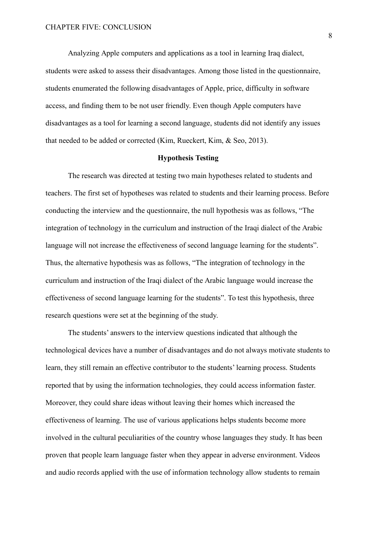Analyzing Apple computers and applications as a tool in learning Iraq dialect, students were asked to assess their disadvantages. Among those listed in the questionnaire, students enumerated the following disadvantages of Apple, price, difficulty in software access, and finding them to be not user friendly. Even though Apple computers have disadvantages as a tool for learning a second language, students did not identify any issues that needed to be added or corrected (Kim, Rueckert, Kim, & Seo, 2013).

### **Hypothesis Testing**

The research was directed at testing two main hypotheses related to students and teachers. The first set of hypotheses was related to students and their learning process. Before conducting the interview and the questionnaire, the null hypothesis was as follows, "The integration of technology in the curriculum and instruction of the Iraqi dialect of the Arabic language will not increase the effectiveness of second language learning for the students". Thus, the alternative hypothesis was as follows, "The integration of technology in the curriculum and instruction of the Iraqi dialect of the Arabic language would increase the effectiveness of second language learning for the students". To test this hypothesis, three research questions were set at the beginning of the study.

The students' answers to the interview questions indicated that although the technological devices have a number of disadvantages and do not always motivate students to learn, they still remain an effective contributor to the students' learning process. Students reported that by using the information technologies, they could access information faster. Moreover, they could share ideas without leaving their homes which increased the effectiveness of learning. The use of various applications helps students become more involved in the cultural peculiarities of the country whose languages they study. It has been proven that people learn language faster when they appear in adverse environment. Videos and audio records applied with the use of information technology allow students to remain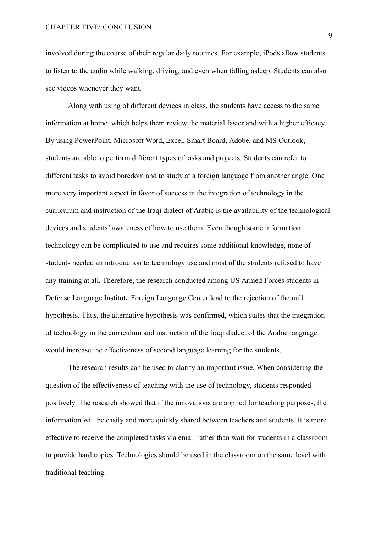involved during the course of their regular daily routines. For example, iPods allow students to listen to the audio while walking, driving, and even when falling asleep. Students can also see videos whenever they want.

Along with using of different devices in class, the students have access to the same information at home, which helps them review the material faster and with a higher efficacy. By using PowerPoint, Microsoft Word, Excel, Smart Board, Adobe, and MS Outlook, students are able to perform different types of tasks and projects. Students can refer to different tasks to avoid boredom and to study at a foreign language from another angle. One more very important aspect in favor of success in the integration of technology in the curriculum and instruction of the Iraqi dialect of Arabic is the availability of the technological devices and students' awareness of how to use them. Even though some information technology can be complicated to use and requires some additional knowledge, none of students needed an introduction to technology use and most of the students refused to have any training at all. Therefore, the research conducted among US Armed Forces students in Defense Language Institute Foreign Language Center lead to the rejection of the null hypothesis. Thus, the alternative hypothesis was confirmed, which states that the integration of technology in the curriculum and instruction of the Iraqi dialect of the Arabic language would increase the effectiveness of second language learning for the students.

The research results can be used to clarify an important issue. When considering the question of the effectiveness of teaching with the use of technology, students responded positively. The research showed that if the innovations are applied for teaching purposes, the information will be easily and more quickly shared between teachers and students. It is more effective to receive the completed tasks via email rather than wait for students in a classroom to provide hard copies. Technologies should be used in the classroom on the same level with traditional teaching.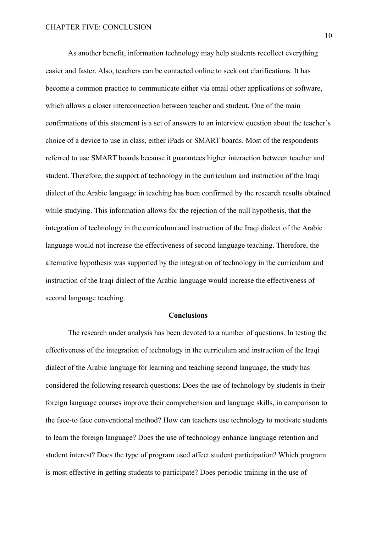As another benefit, information technology may help students recollect everything easier and faster. Also, teachers can be contacted online to seek out clarifications. It has become a common practice to communicate either via email other applications or software, which allows a closer interconnection between teacher and student. One of the main confirmations of this statement is a set of answers to an interview question about the teacher's choice of a device to use in class, either iPads or SMART boards. Most of the respondents referred to use SMART boards because it guarantees higher interaction between teacher and student. Therefore, the support of technology in the curriculum and instruction of the Iraqi dialect of the Arabic language in teaching has been confirmed by the research results obtained while studying. This information allows for the rejection of the null hypothesis, that the integration of technology in the curriculum and instruction of the Iraqi dialect of the Arabic language would not increase the effectiveness of second language teaching. Therefore, the alternative hypothesis was supported by the integration of technology in the curriculum and instruction of the Iraqi dialect of the Arabic language would increase the effectiveness of second language teaching.

# **Conclusions**

The research under analysis has been devoted to a number of questions. In testing the effectiveness of the integration of technology in the curriculum and instruction of the Iraqi dialect of the Arabic language for learning and teaching second language, the study has considered the following research questions: Does the use of technology by students in their foreign language courses improve their comprehension and language skills, in comparison to the face-to face conventional method? How can teachers use technology to motivate students to learn the foreign language? Does the use of technology enhance language retention and student interest? Does the type of program used affect student participation? Which program is most effective in getting students to participate? Does periodic training in the use of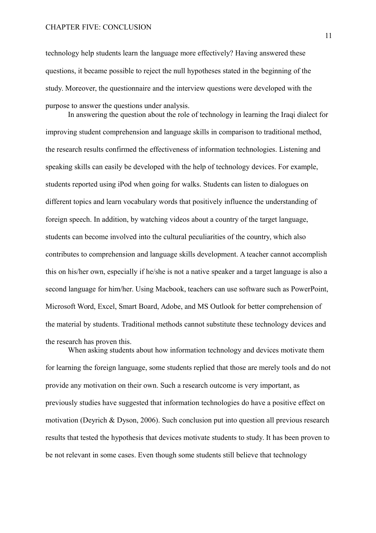technology help students learn the language more effectively? Having answered these questions, it became possible to reject the null hypotheses stated in the beginning of the study. Moreover, the questionnaire and the interview questions were developed with the purpose to answer the questions under analysis.

In answering the question about the role of technology in learning the Iraqi dialect for improving student comprehension and language skills in comparison to traditional method, the research results confirmed the effectiveness of information technologies. Listening and speaking skills can easily be developed with the help of technology devices. For example, students reported using iPod when going for walks. Students can listen to dialogues on different topics and learn vocabulary words that positively influence the understanding of foreign speech. In addition, by watching videos about a country of the target language, students can become involved into the cultural peculiarities of the country, which also contributes to comprehension and language skills development. A teacher cannot accomplish this on his/her own, especially if he/she is not a native speaker and a target language is also a second language for him/her. Using Macbook, teachers can use software such as PowerPoint, Microsoft Word, Excel, Smart Board, Adobe, and MS Outlook for better comprehension of the material by students. Traditional methods cannot substitute these technology devices and the research has proven this.

When asking students about how information technology and devices motivate them for learning the foreign language, some students replied that those are merely tools and do not provide any motivation on their own. Such a research outcome is very important, as previously studies have suggested that information technologies do have a positive effect on motivation (Deyrich & Dyson, 2006). Such conclusion put into question all previous research results that tested the hypothesis that devices motivate students to study. It has been proven to be not relevant in some cases. Even though some students still believe that technology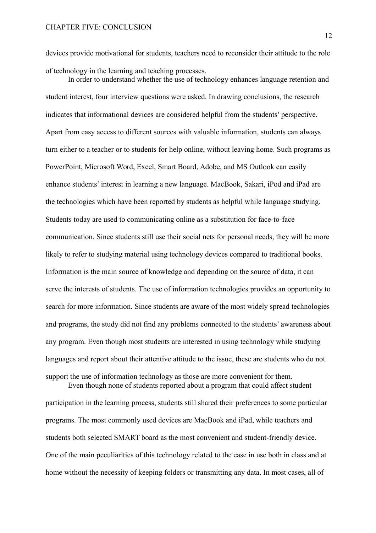devices provide motivational for students, teachers need to reconsider their attitude to the role of technology in the learning and teaching processes.

In order to understand whether the use of technology enhances language retention and student interest, four interview questions were asked. In drawing conclusions, the research indicates that informational devices are considered helpful from the students' perspective. Apart from easy access to different sources with valuable information, students can always turn either to a teacher or to students for help online, without leaving home. Such programs as PowerPoint, Microsoft Word, Excel, Smart Board, Adobe, and MS Outlook can easily enhance students' interest in learning a new language. MacBook, Sakari, iPod and iPad are the technologies which have been reported by students as helpful while language studying. Students today are used to communicating online as a substitution for face-to-face communication. Since students still use their social nets for personal needs, they will be more likely to refer to studying material using technology devices compared to traditional books. Information is the main source of knowledge and depending on the source of data, it can serve the interests of students. The use of information technologies provides an opportunity to search for more information. Since students are aware of the most widely spread technologies and programs, the study did not find any problems connected to the students' awareness about any program. Even though most students are interested in using technology while studying languages and report about their attentive attitude to the issue, these are students who do not support the use of information technology as those are more convenient for them. Even though none of students reported about a program that could affect student

participation in the learning process, students still shared their preferences to some particular programs. The most commonly used devices are MacBook and iPad, while teachers and students both selected SMART board as the most convenient and student-friendly device. One of the main peculiarities of this technology related to the ease in use both in class and at home without the necessity of keeping folders or transmitting any data. In most cases, all of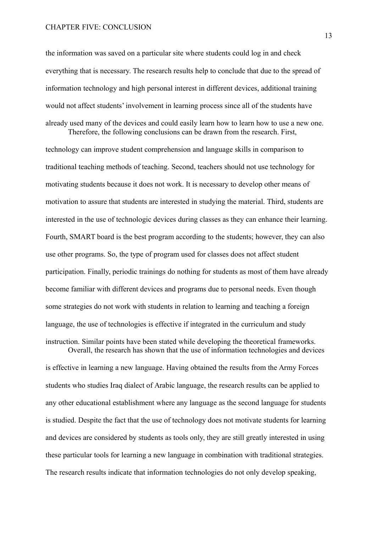the information was saved on a particular site where students could log in and check everything that is necessary. The research results help to conclude that due to the spread of information technology and high personal interest in different devices, additional training would not affect students' involvement in learning process since all of the students have already used many of the devices and could easily learn how to learn how to use a new one. Therefore, the following conclusions can be drawn from the research. First,

technology can improve student comprehension and language skills in comparison to traditional teaching methods of teaching. Second, teachers should not use technology for motivating students because it does not work. It is necessary to develop other means of motivation to assure that students are interested in studying the material. Third, students are interested in the use of technologic devices during classes as they can enhance their learning. Fourth, SMART board is the best program according to the students; however, they can also use other programs. So, the type of program used for classes does not affect student participation. Finally, periodic trainings do nothing for students as most of them have already become familiar with different devices and programs due to personal needs. Even though some strategies do not work with students in relation to learning and teaching a foreign language, the use of technologies is effective if integrated in the curriculum and study instruction. Similar points have been stated while developing the theoretical frameworks. Overall, the research has shown that the use of information technologies and devices

is effective in learning a new language. Having obtained the results from the Army Forces students who studies Iraq dialect of Arabic language, the research results can be applied to any other educational establishment where any language as the second language for students is studied. Despite the fact that the use of technology does not motivate students for learning and devices are considered by students as tools only, they are still greatly interested in using these particular tools for learning a new language in combination with traditional strategies. The research results indicate that information technologies do not only develop speaking,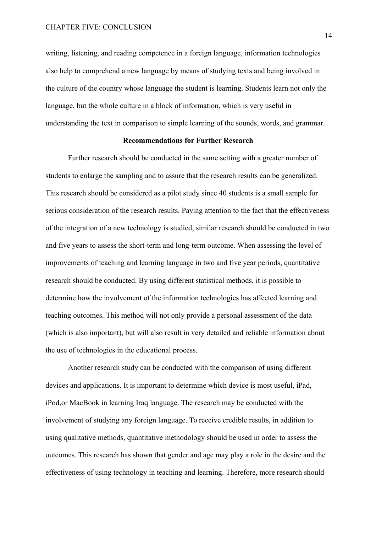writing, listening, and reading competence in a foreign language, information technologies also help to comprehend a new language by means of studying texts and being involved in the culture of the country whose language the student is learning. Students learn not only the language, but the whole culture in a block of information, which is very useful in understanding the text in comparison to simple learning of the sounds, words, and grammar.

### **Recommendations for Further Research**

Further research should be conducted in the same setting with a greater number of students to enlarge the sampling and to assure that the research results can be generalized. This research should be considered as a pilot study since 40 students is a small sample for serious consideration of the research results. Paying attention to the fact that the effectiveness of the integration of a new technology is studied, similar research should be conducted in two and five years to assess the short-term and long-term outcome. When assessing the level of improvements of teaching and learning language in two and five year periods, quantitative research should be conducted. By using different statistical methods, it is possible to determine how the involvement of the information technologies has affected learning and teaching outcomes. This method will not only provide a personal assessment of the data (which is also important), but will also result in very detailed and reliable information about the use of technologies in the educational process.

Another research study can be conducted with the comparison of using different devices and applications. It is important to determine which device is most useful, iPad, iPod,or MacBook in learning Iraq language. The research may be conducted with the involvement of studying any foreign language. To receive credible results, in addition to using qualitative methods, quantitative methodology should be used in order to assess the outcomes. This research has shown that gender and age may play a role in the desire and the effectiveness of using technology in teaching and learning. Therefore, more research should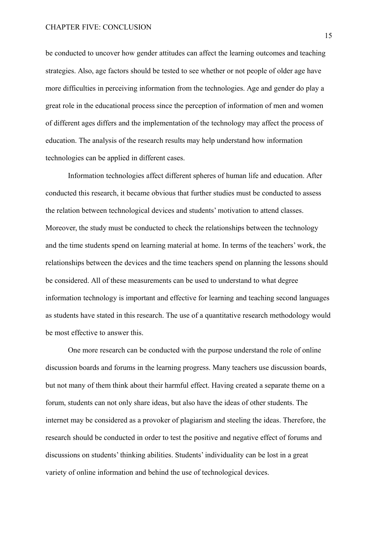be conducted to uncover how gender attitudes can affect the learning outcomes and teaching strategies. Also, age factors should be tested to see whether or not people of older age have more difficulties in perceiving information from the technologies. Age and gender do play a great role in the educational process since the perception of information of men and women of different ages differs and the implementation of the technology may affect the process of education. The analysis of the research results may help understand how information technologies can be applied in different cases.

Information technologies affect different spheres of human life and education. After conducted this research, it became obvious that further studies must be conducted to assess the relation between technological devices and students' motivation to attend classes. Moreover, the study must be conducted to check the relationships between the technology and the time students spend on learning material at home. In terms of the teachers' work, the relationships between the devices and the time teachers spend on planning the lessons should be considered. All of these measurements can be used to understand to what degree information technology is important and effective for learning and teaching second languages as students have stated in this research. The use of a quantitative research methodology would be most effective to answer this.

One more research can be conducted with the purpose understand the role of online discussion boards and forums in the learning progress. Many teachers use discussion boards, but not many of them think about their harmful effect. Having created a separate theme on a forum, students can not only share ideas, but also have the ideas of other students. The internet may be considered as a provoker of plagiarism and steeling the ideas. Therefore, the research should be conducted in order to test the positive and negative effect of forums and discussions on students' thinking abilities. Students' individuality can be lost in a great variety of online information and behind the use of technological devices.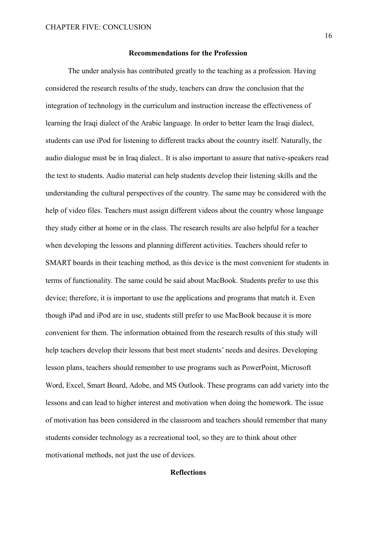# **Recommendations for the Profession**

The under analysis has contributed greatly to the teaching as a profession. Having considered the research results of the study, teachers can draw the conclusion that the integration of technology in the curriculum and instruction increase the effectiveness of learning the Iraqi dialect of the Arabic language. In order to better learn the Iraqi dialect, students can use iPod for listening to different tracks about the country itself. Naturally, the audio dialogue must be in Iraq dialect.. It is also important to assure that native-speakers read the text to students. Audio material can help students develop their listening skills and the understanding the cultural perspectives of the country. The same may be considered with the help of video files. Teachers must assign different videos about the country whose language they study either at home or in the class. The research results are also helpful for a teacher when developing the lessons and planning different activities. Teachers should refer to SMART boards in their teaching method, as this device is the most convenient for students in terms of functionality. The same could be said about MacBook. Students prefer to use this device; therefore, it is important to use the applications and programs that match it. Even though iPad and iPod are in use, students still prefer to use MacBook because it is more convenient for them. The information obtained from the research results of this study will help teachers develop their lessons that best meet students' needs and desires. Developing lesson plans, teachers should remember to use programs such as PowerPoint, Microsoft Word, Excel, Smart Board, Adobe, and MS Outlook. These programs can add variety into the lessons and can lead to higher interest and motivation when doing the homework. The issue of motivation has been considered in the classroom and teachers should remember that many students consider technology as a recreational tool, so they are to think about other motivational methods, not just the use of devices.

# **Reflections**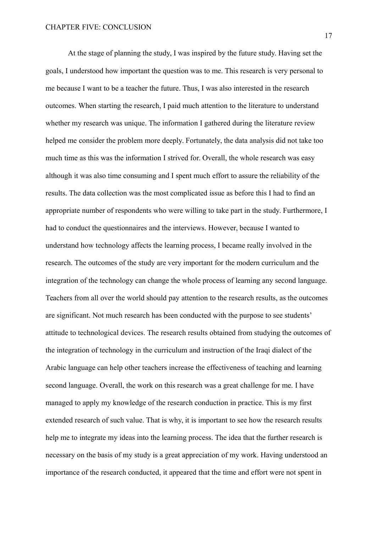At the stage of planning the study, I was inspired by the future study. Having set the goals, I understood how important the question was to me. This research is very personal to me because I want to be a teacher the future. Thus, I was also interested in the research outcomes. When starting the research, I paid much attention to the literature to understand whether my research was unique. The information I gathered during the literature review helped me consider the problem more deeply. Fortunately, the data analysis did not take too much time as this was the information I strived for. Overall, the whole research was easy although it was also time consuming and I spent much effort to assure the reliability of the results. The data collection was the most complicated issue as before this I had to find an appropriate number of respondents who were willing to take part in the study. Furthermore, I had to conduct the questionnaires and the interviews. However, because I wanted to understand how technology affects the learning process, I became really involved in the research. The outcomes of the study are very important for the modern curriculum and the integration of the technology can change the whole process of learning any second language. Teachers from all over the world should pay attention to the research results, as the outcomes are significant. Not much research has been conducted with the purpose to see students' attitude to technological devices. The research results obtained from studying the outcomes of the integration of technology in the curriculum and instruction of the Iraqi dialect of the Arabic language can help other teachers increase the effectiveness of teaching and learning second language. Overall, the work on this research was a great challenge for me. I have managed to apply my knowledge of the research conduction in practice. This is my first extended research of such value. That is why, it is important to see how the research results help me to integrate my ideas into the learning process. The idea that the further research is necessary on the basis of my study is a great appreciation of my work. Having understood an importance of the research conducted, it appeared that the time and effort were not spent in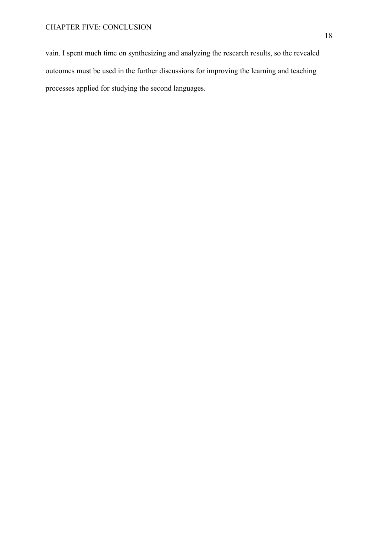vain. I spent much time on synthesizing and analyzing the research results, so the revealed outcomes must be used in the further discussions for improving the learning and teaching processes applied for studying the second languages.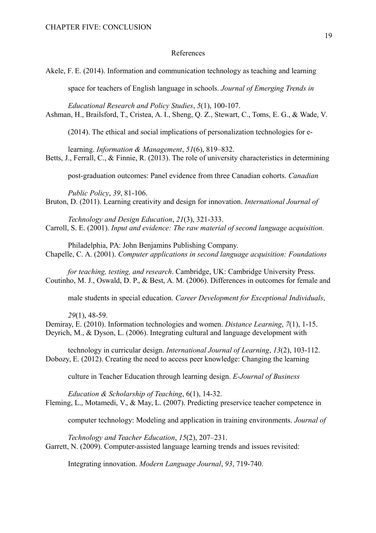# References

Akele, F. E. (2014). Information and communication technology as teaching and learning

space for teachers of English language in schools. *Journal of Emerging Trends in* 

*Educational Research and Policy Studies*, *5*(1), 100-107. Ashman, H., Brailsford, T., Cristea, A. I., Sheng, Q. Z., Stewart, C., Toms, E. G., & Wade, V.

(2014). The ethical and social implications of personalization technologies for e-

learning. *Information & Management*, *51*(6), 819–832. Betts, J., Ferrall, C., & Finnie, R. (2013). The role of university characteristics in determining

post-graduation outcomes: Panel evidence from three Canadian cohorts. *Canadian* 

*Public Policy*, *39*, 81-106. Bruton, D. (2011). Learning creativity and design for innovation. *International Journal of* 

*Technology and Design Education*, *21*(3), 321-333. Carroll, S. E. (2001). *Input and evidence: The raw material of second language acquisition.*

Philadelphia, PA: John Benjamins Publishing Company. Chapelle, C. A. (2001). *Computer applications in second language acquisition: Foundations* 

*for teaching, testing, and research*. Cambridge, UK: Cambridge University Press. Coutinho, M. J., Oswald, D. P., & Best, A. M. (2006). Differences in outcomes for female and

male students in special education. *Career Development for Exceptional Individuals*,

*29*(1), 48-59.

Demiray, E. (2010). Information technologies and women. *Distance Learning*, *7*(1), 1-15. Deyrich, M., & Dyson, L. (2006). Integrating cultural and language development with

technology in curricular design. *International Journal of Learning*, *13*(2), 103-112. Dobozy, E. (2012). Creating the need to access peer knowledge: Changing the learning

culture in Teacher Education through learning design. *E-Journal of Business* 

*Education & Scholarship of Teaching*, 6(1), 14-32. Fleming, L., Motamedi, V., & May, L. (2007). Predicting preservice teacher competence in

computer technology: Modeling and application in training environments. *Journal of* 

*Technology and Teacher Education*, *15*(2), 207–231. Garrett, N. (2009). Computer-assisted language learning trends and issues revisited:

Integrating innovation. *Modern Language Journal*, *93*, 719-740.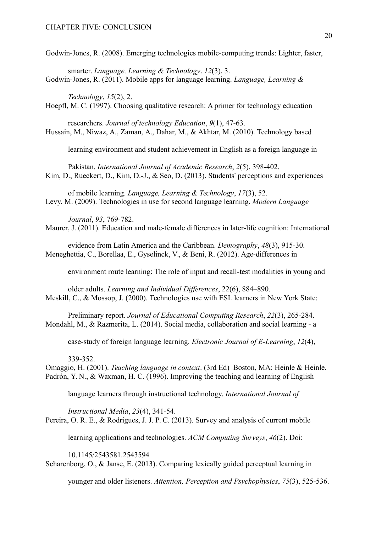Godwin-Jones, R. (2008). Emerging technologies mobile-computing trends: Lighter, faster,

smarter. *Language, Learning & Technology*. *12*(3), 3. Godwin-Jones, R. (2011). Mobile apps for language learning. *Language, Learning &* 

*Technology*, *15*(2), 2. Hoepfl, M. C. (1997). Choosing qualitative research: A primer for technology education

researchers. *Journal of technology Education*, *9*(1), 47-63. Hussain, M., Niwaz, A., Zaman, A., Dahar, M., & Akhtar, M. (2010). Technology based

learning environment and student achievement in English as a foreign language in

Pakistan. *International Journal of Academic Research*, *2*(5), 398-402. Kim, D., Rueckert, D., Kim, D.-J., & Seo, D. (2013). Students' perceptions and experiences

of mobile learning. *Language, Learning & Technology*, *17*(3), 52. Levy, M. (2009). Technologies in use for second language learning. *Modern Language* 

*Journal*, *93*, 769-782. Maurer, J. (2011). Education and male-female differences in later-life cognition: International

evidence from Latin America and the Caribbean. *Demography*, *48*(3), 915-30. Meneghettia, C., Borellaa, E., Gyselinck, V., & Beni, R. (2012). Age-differences in

environment route learning: The role of input and recall-test modalities in young and

older adults. *Learning and Individual Differences*, 22(6), 884–890. Meskill, C., & Mossop, J. (2000). Technologies use with ESL learners in New York State:

Preliminary report. *Journal of Educational Computing Research*, *22*(3), 265-284. Mondahl, M., & Razmerita, L. (2014). Social media, collaboration and social learning - a

case-study of foreign language learning. *Electronic Journal of E-Learning*, *12*(4),

339-352.

Omaggio, H. (2001). *Teaching language in context*. (3rd Ed) Boston, MA: Heinle & Heinle. Padrón, Y. N., & Waxman, H. C. (1996). Improving the teaching and learning of English

language learners through instructional technology. *International Journal of* 

*Instructional Media*, *23*(4), 341-54.

Pereira, O. R. E., & Rodrigues, J. J. P. C. (2013). Survey and analysis of current mobile

learning applications and technologies. *ACM Computing Surveys*, *46*(2). Doi:

10.1145/2543581.2543594 Scharenborg, O., & Janse, E. (2013). Comparing lexically guided perceptual learning in

younger and older listeners. *Attention, Perception and Psychophysics*, *75*(3), 525-536.